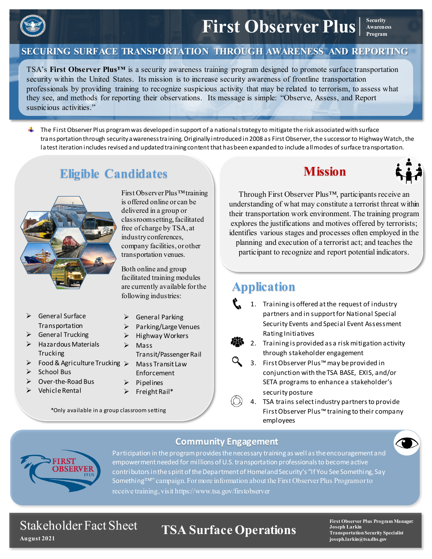

**SECURING SURFACE TRANSPORTATION THROUGH AWARENESS AND REPORTING**

TSA's **First Observer Plus™** is a security awareness training program designed to promote surface transportation security within the United States. Its mission is to increase security awareness of frontline transportation professionals by providing training to recognize suspicious activity that may be related to terrorism, to assess what they see, and methods for reporting their observations. Its message is simple: "Observe, Assess, and Report suspicious activities."

 $\blacksquare$  The First Observer Plus program was developed in support of a national strategy to mitigate the risk associated with surface transportation through security awareness training. Originally introduced in 2008 as First Observer, the successor to Highway Watch, the latest iteration includes revised and updated training content that has been expanded to include all modes of surface transportation.

## **Eligible Candidates**



- General Surface Transportation
- $\triangleright$  General Trucking
- $\triangleright$  Hazardous Materials **Trucking**
- $\triangleright$  Food & Agriculture Trucking  $\triangleright$
- School Bus
- Over-the-Road Bus
- Vehicle Rental

First Observer Plus™ training is offered online or can be delivered in a group or classroom setting, facilitated free of charge by TSA, at industry conferences, company facilities, or other transportation venues.

Both online and group facilitated training modules are currently available for the following industries:

- General Parking
- $\triangleright$  Parking/Large Venues
- $\triangleright$  Highway Workers
- $\triangleright$  Mass Transit/Passenger Rail
	- Mass Transit Law Enforcement
- $\triangleright$  Pipelines
- $\triangleright$  Freight Rail\*

\*Only available in a group classroom setting

### **Mission**



**Awareness Program**

Through First Observer Plus™, participants receive an understanding of what may constitute a terrorist threat within their transportation work environment. The training program explores the justifications and motives offered by terrorists; identifies various stages and processes often employed in the planning and execution of a terrorist act; and teaches the participant to recognize and report potential indicators.

## **Application**

- 1. Training is offered at the request of industry partners and in support for National Special Security Events and Special Event Assessment Rating Initiatives
- 2. Training is provided as a risk mitigation activity through stakeholder engagement
- 3. First Observer Plus™ may be provided in conjunction with the TSA BASE, EXIS, and/or SETA programs to enhance a stakeholder's security posture
	- 4. TSA trains select industry partners to provide First Observer Plus™ training to their company employees



**Community Engagement**

**Activities for Something™" campaign. For more information about the First Observer Plus Program or to** Participation in the program provides the necessary training as well as the encouragement and empowerment needed for millions of U.S. transportation professionals to become active contributors in the spirit of the Department of Homeland Security's "If You See Something, Say receive training, visit https://www.tsa.gov/firstobserver

#### Stakeholder Fact Sheet **August 2021**

## **TSA Surface Operations**

**First Observer Plus Program Manager: Joseph Larkin Transportation Security Specialist joseph.larkin@tsa.dhs.gov**